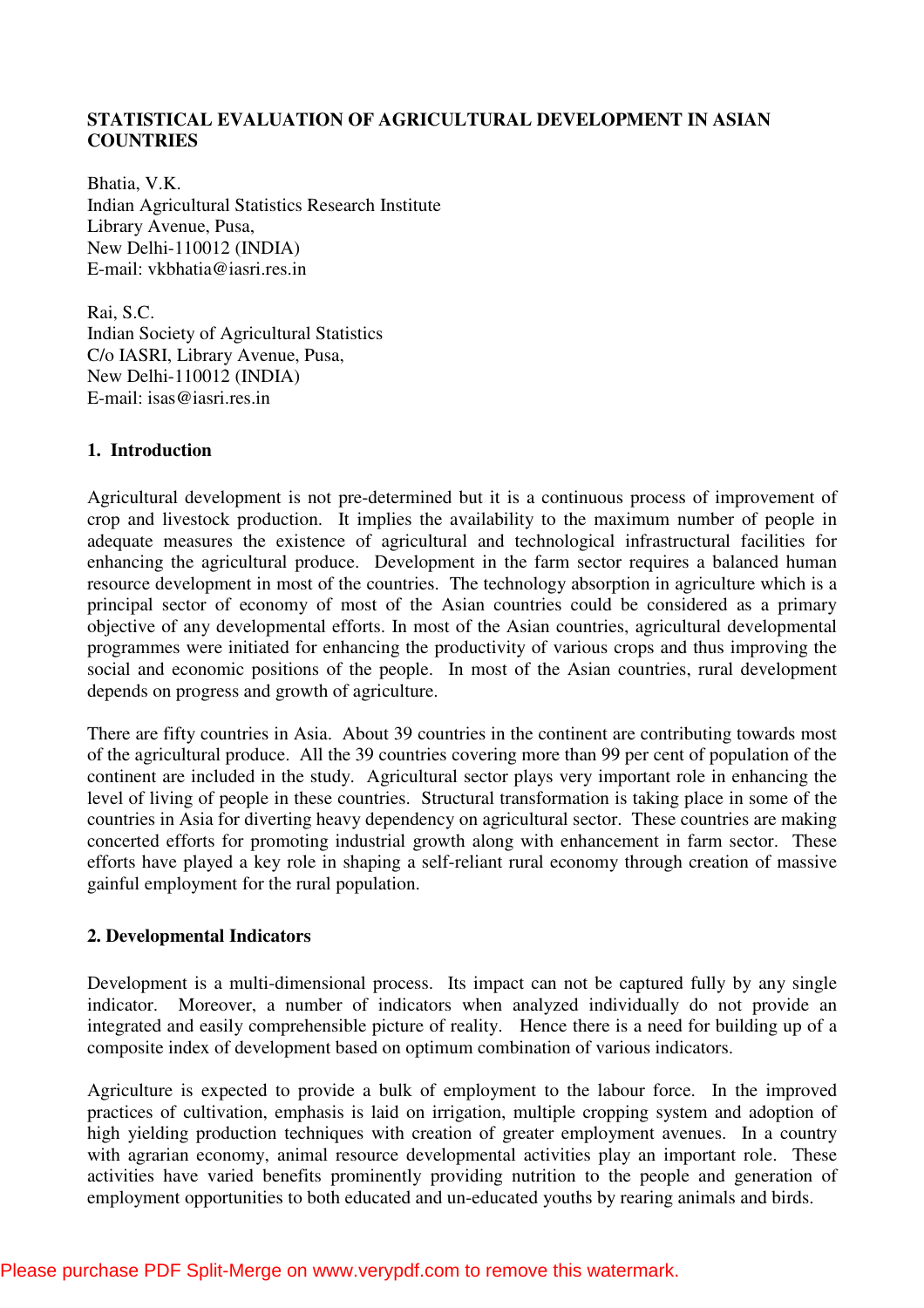# **STATISTICAL EVALUATION OF AGRICULTURAL DEVELOPMENT IN ASIAN COUNTRIES**

Bhatia, V.K. Indian Agricultural Statistics Research Institute Library Avenue, Pusa, New Delhi-110012 (INDIA) E-mail: vkbhatia@iasri.res.in

Rai, S.C. Indian Society of Agricultural Statistics C/o IASRI, Library Avenue, Pusa, New Delhi-110012 (INDIA) E-mail: isas@iasri.res.in

# **1. Introduction**

Agricultural development is not pre-determined but it is a continuous process of improvement of crop and livestock production. It implies the availability to the maximum number of people in adequate measures the existence of agricultural and technological infrastructural facilities for enhancing the agricultural produce. Development in the farm sector requires a balanced human resource development in most of the countries. The technology absorption in agriculture which is a principal sector of economy of most of the Asian countries could be considered as a primary objective of any developmental efforts. In most of the Asian countries, agricultural developmental programmes were initiated for enhancing the productivity of various crops and thus improving the social and economic positions of the people. In most of the Asian countries, rural development depends on progress and growth of agriculture.

There are fifty countries in Asia. About 39 countries in the continent are contributing towards most of the agricultural produce. All the 39 countries covering more than 99 per cent of population of the continent are included in the study. Agricultural sector plays very important role in enhancing the level of living of people in these countries. Structural transformation is taking place in some of the countries in Asia for diverting heavy dependency on agricultural sector. These countries are making concerted efforts for promoting industrial growth along with enhancement in farm sector. These efforts have played a key role in shaping a self-reliant rural economy through creation of massive gainful employment for the rural population.

#### **2. Developmental Indicators**

Development is a multi-dimensional process. Its impact can not be captured fully by any single indicator. Moreover, a number of indicators when analyzed individually do not provide an integrated and easily comprehensible picture of reality. Hence there is a need for building up of a composite index of development based on optimum combination of various indicators.

Agriculture is expected to provide a bulk of employment to the labour force. In the improved practices of cultivation, emphasis is laid on irrigation, multiple cropping system and adoption of high yielding production techniques with creation of greater employment avenues. In a country with agrarian economy, animal resource developmental activities play an important role. These activities have varied benefits prominently providing nutrition to the people and generation of employment opportunities to both educated and un-educated youths by rearing animals and birds.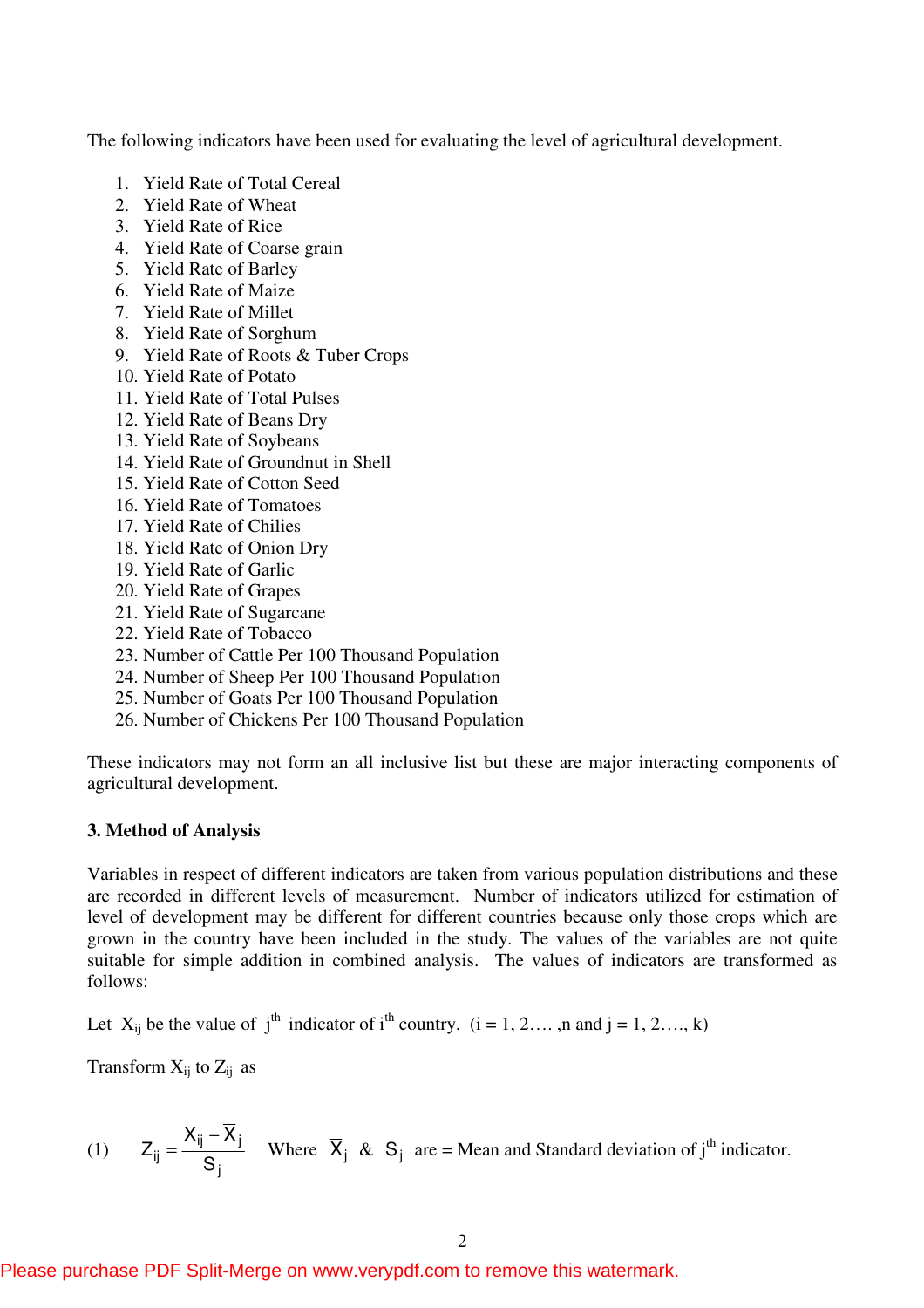The following indicators have been used for evaluating the level of agricultural development.

- 1. Yield Rate of Total Cereal
- 2. Yield Rate of Wheat
- 3. Yield Rate of Rice
- 4. Yield Rate of Coarse grain
- 5. Yield Rate of Barley
- 6. Yield Rate of Maize
- 7. Yield Rate of Millet
- 8. Yield Rate of Sorghum
- 9. Yield Rate of Roots & Tuber Crops
- 10. Yield Rate of Potato
- 11. Yield Rate of Total Pulses
- 12. Yield Rate of Beans Dry
- 13. Yield Rate of Soybeans
- 14. Yield Rate of Groundnut in Shell
- 15. Yield Rate of Cotton Seed
- 16. Yield Rate of Tomatoes
- 17. Yield Rate of Chilies
- 18. Yield Rate of Onion Dry
- 19. Yield Rate of Garlic
- 20. Yield Rate of Grapes
- 21. Yield Rate of Sugarcane
- 22. Yield Rate of Tobacco
- 23. Number of Cattle Per 100 Thousand Population
- 24. Number of Sheep Per 100 Thousand Population
- 25. Number of Goats Per 100 Thousand Population
- 26. Number of Chickens Per 100 Thousand Population

These indicators may not form an all inclusive list but these are major interacting components of agricultural development.

#### **3. Method of Analysis**

Variables in respect of different indicators are taken from various population distributions and these are recorded in different levels of measurement. Number of indicators utilized for estimation of level of development may be different for different countries because only those crops which are grown in the country have been included in the study. The values of the variables are not quite suitable for simple addition in combined analysis. The values of indicators are transformed as follows:

Let  $X_{ij}$  be the value of  $j<sup>th</sup>$  indicator of  $i<sup>th</sup>$  country. (i = 1, 2…, n and j = 1, 2…, k)

Transform  $X_{ii}$  to  $Z_{ii}$  as

(1) 
$$
Z_{ij} = \frac{X_{ij} - \overline{X}_j}{S_j}
$$
 Where  $\overline{X}_j$  & S<sub>j</sub> are = Mean and Standard deviation of j<sup>th</sup> indicator.

Please purchase PDF Split-Merge on www.verypdf.com to remove this watermark.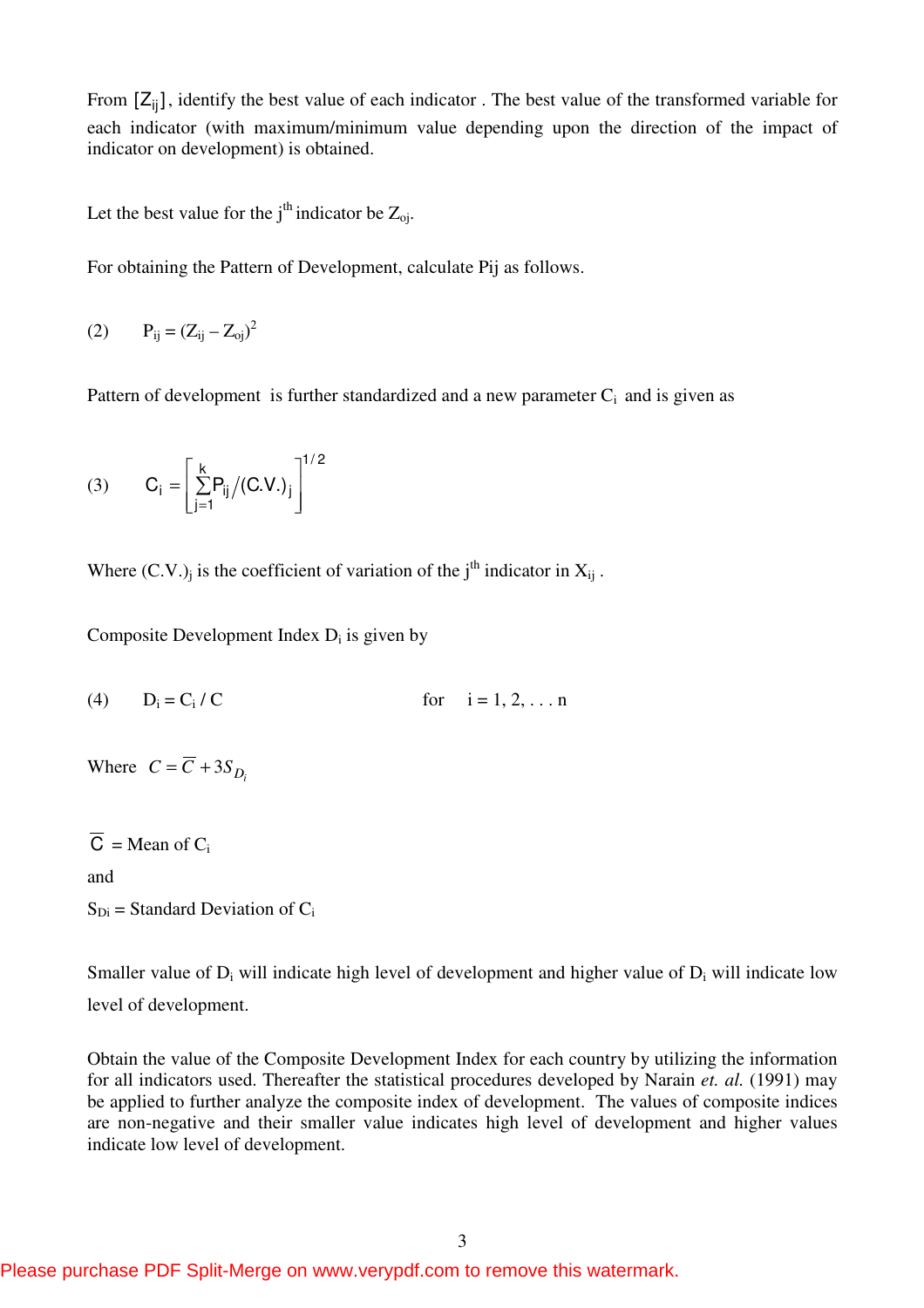From  $[Z_{ij}]$ , identify the best value of each indicator. The best value of the transformed variable for each indicator (with maximum/minimum value depending upon the direction of the impact of indicator on development) is obtained.

Let the best value for the j<sup>th</sup> indicator be  $Z_{oi}$ .

For obtaining the Pattern of Development, calculate Pij as follows.

(2)  $P_{ij} = (Z_{ij} - Z_{oj})^2$ 

Pattern of development is further standardized and a new parameter  $C_i$  and is given as

(3) 
$$
C_i = \left[\sum_{j=1}^{k} P_{ij} / (C.V.)_j\right]^{1/2}
$$

Where  $(C.V.)_j$  is the coefficient of variation of the j<sup>th</sup> indicator in  $X_{ij}$ .

Composite Development Index  $D_i$  is given by

(4)  $D_i = C_i$ for  $i = 1, 2, ... n$ 

Where  $C = \overline{C} + 3S_{D_i}$ 

 $C = Mean of C_i$ 

and

 $S_{Di}$  = Standard Deviation of  $C_i$ 

Smaller value of  $D_i$  will indicate high level of development and higher value of  $D_i$  will indicate low level of development.

Obtain the value of the Composite Development Index for each country by utilizing the information for all indicators used. Thereafter the statistical procedures developed by Narain *et. al.* (1991) may be applied to further analyze the composite index of development. The values of composite indices are non-negative and their smaller value indicates high level of development and higher values indicate low level of development.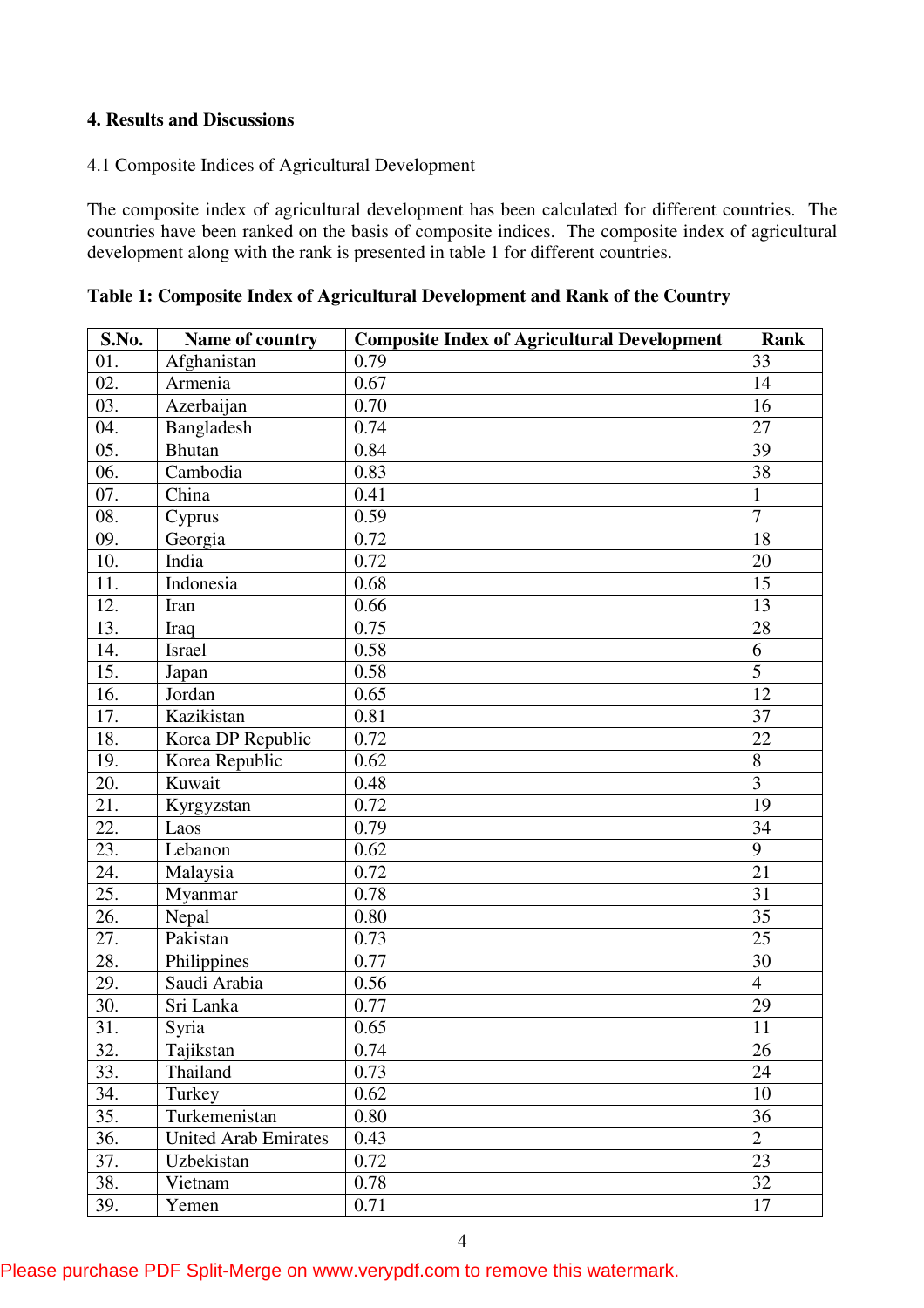# **4. Results and Discussions**

## 4.1 Composite Indices of Agricultural Development

The composite index of agricultural development has been calculated for different countries. The countries have been ranked on the basis of composite indices. The composite index of agricultural development along with the rank is presented in table 1 for different countries.

| S.No.             | Name of country             | <b>Composite Index of Agricultural Development</b> | <b>Rank</b>     |
|-------------------|-----------------------------|----------------------------------------------------|-----------------|
| 01.               | Afghanistan                 | 0.79                                               | 33              |
| 02.               | Armenia                     | 0.67                                               | 14              |
| 03.               | Azerbaijan                  | 0.70                                               | 16              |
| 04.               | Bangladesh                  | 0.74                                               | $\overline{27}$ |
| 05.               | <b>Bhutan</b>               | 0.84                                               | 39              |
| 06.               | Cambodia                    | 0.83                                               | 38              |
| 07.               | China                       | 0.41                                               | $\mathbf{1}$    |
| 08.               | Cyprus                      | 0.59                                               | $\overline{7}$  |
| 09.               | Georgia                     | 0.72                                               | 18              |
| 10.               | India                       | 0.72                                               | 20              |
| $\overline{11}$ . | Indonesia                   | 0.68                                               | $\overline{15}$ |
| 12.               | Iran                        | 0.66                                               | 13              |
| 13.               | Iraq                        | 0.75                                               | 28              |
| 14.               | <b>Israel</b>               | 0.58                                               | 6               |
| 15.               | Japan                       | 0.58                                               | $\overline{5}$  |
| 16.               | Jordan                      | 0.65                                               | $\overline{12}$ |
| 17.               | Kazikistan                  | 0.81                                               | 37              |
| 18.               | Korea DP Republic           | 0.72                                               | 22              |
| 19.               | Korea Republic              | 0.62                                               | 8               |
| 20.               | Kuwait                      | 0.48                                               | $\overline{3}$  |
| 21.               | Kyrgyzstan                  | 0.72                                               | 19              |
| 22.               | Laos                        | 0.79                                               | 34              |
| 23.               | Lebanon                     | 0.62                                               | $\overline{9}$  |
| 24.               | Malaysia                    | 0.72                                               | $\overline{21}$ |
| $\overline{25}$ . | Myanmar                     | 0.78                                               | 31              |
| 26.               | Nepal                       | 0.80                                               | 35              |
| 27.               | Pakistan                    | 0.73                                               | 25              |
| 28.               | Philippines                 | 0.77                                               | 30              |
| 29.               | Saudi Arabia                | 0.56                                               | $\overline{4}$  |
| 30.               | Sri Lanka                   | 0.77                                               | 29              |
| $\overline{31}$ . | Syria                       | 0.65                                               | $\overline{11}$ |
| 32.               | Tajikstan                   | 0.74                                               | 26              |
| 33.               | Thailand                    | 0.73                                               | 24              |
| 34.               | Turkey                      | 0.62                                               | 10              |
| 35.               | Turkemenistan               | 0.80                                               | 36              |
| 36.               | <b>United Arab Emirates</b> | 0.43                                               | $\overline{2}$  |
| 37.               | Uzbekistan                  | 0.72                                               | 23              |
| 38.               | Vietnam                     | 0.78                                               | 32              |
| 39.               | Yemen                       | 0.71                                               | 17              |

**Table 1: Composite Index of Agricultural Development and Rank of the Country**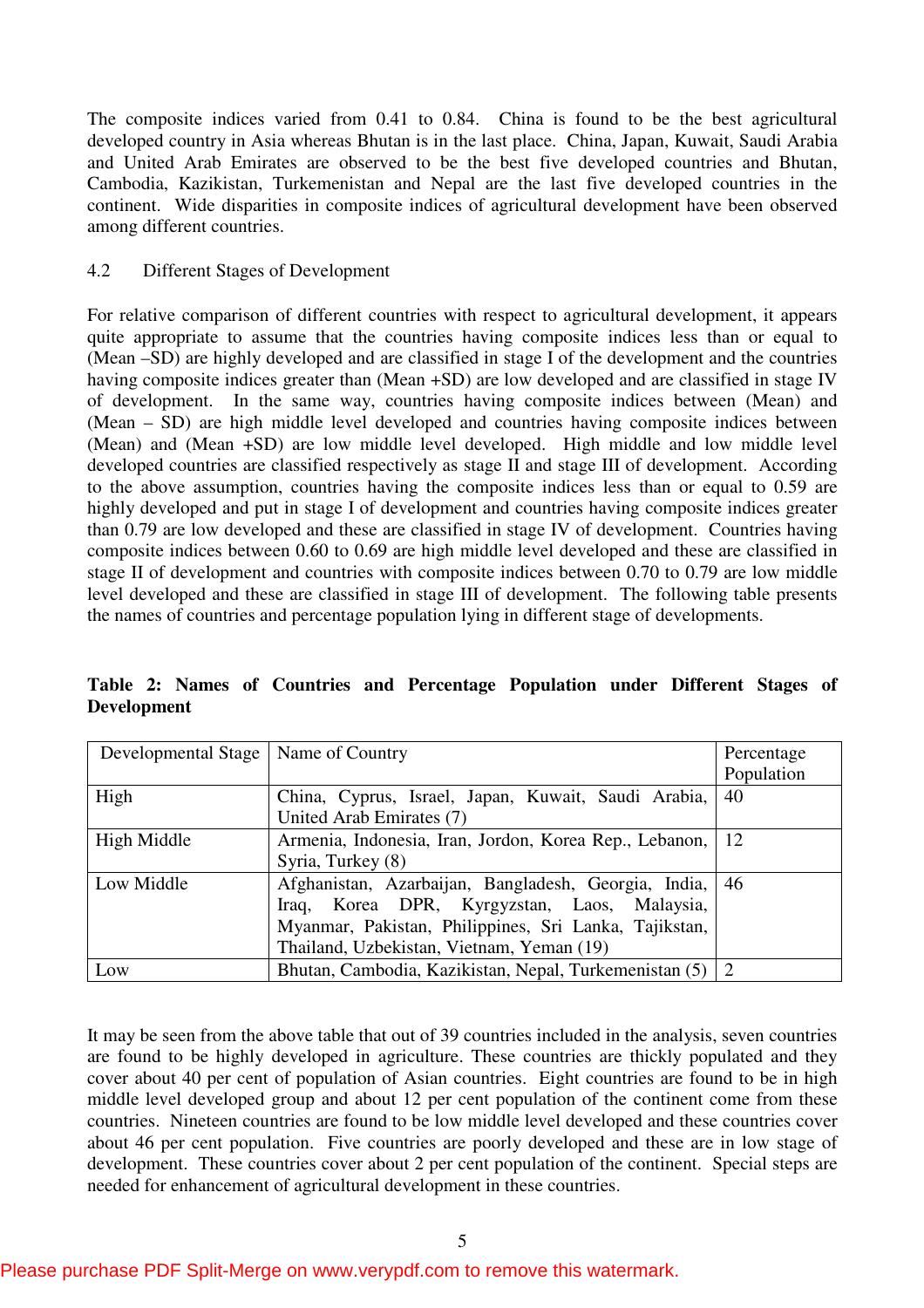The composite indices varied from 0.41 to 0.84. China is found to be the best agricultural developed country in Asia whereas Bhutan is in the last place. China, Japan, Kuwait, Saudi Arabia and United Arab Emirates are observed to be the best five developed countries and Bhutan, Cambodia, Kazikistan, Turkemenistan and Nepal are the last five developed countries in the continent. Wide disparities in composite indices of agricultural development have been observed among different countries.

# 4.2 Different Stages of Development

For relative comparison of different countries with respect to agricultural development, it appears quite appropriate to assume that the countries having composite indices less than or equal to (Mean –SD) are highly developed and are classified in stage I of the development and the countries having composite indices greater than (Mean +SD) are low developed and are classified in stage IV of development. In the same way, countries having composite indices between (Mean) and (Mean – SD) are high middle level developed and countries having composite indices between (Mean) and (Mean +SD) are low middle level developed. High middle and low middle level developed countries are classified respectively as stage II and stage III of development. According to the above assumption, countries having the composite indices less than or equal to 0.59 are highly developed and put in stage I of development and countries having composite indices greater than 0.79 are low developed and these are classified in stage IV of development. Countries having composite indices between 0.60 to 0.69 are high middle level developed and these are classified in stage II of development and countries with composite indices between 0.70 to 0.79 are low middle level developed and these are classified in stage III of development. The following table presents the names of countries and percentage population lying in different stage of developments.

| Developmental Stage | Name of Country                                           | Percentage    |
|---------------------|-----------------------------------------------------------|---------------|
|                     |                                                           | Population    |
| High                | China, Cyprus, Israel, Japan, Kuwait, Saudi Arabia,       | 40            |
|                     | United Arab Emirates (7)                                  |               |
| High Middle         | Armenia, Indonesia, Iran, Jordon, Korea Rep., Lebanon,    | <sup>12</sup> |
|                     | Syria, Turkey (8)                                         |               |
| Low Middle          | Afghanistan, Azarbaijan, Bangladesh, Georgia, India,   46 |               |
|                     | Iraq, Korea DPR, Kyrgyzstan, Laos, Malaysia,              |               |
|                     | Myanmar, Pakistan, Philippines, Sri Lanka, Tajikstan,     |               |
|                     | Thailand, Uzbekistan, Vietnam, Yeman (19)                 |               |
| Low                 | Bhutan, Cambodia, Kazikistan, Nepal, Turkemenistan (5)    | 2             |

**Table 2: Names of Countries and Percentage Population under Different Stages of Development** 

It may be seen from the above table that out of 39 countries included in the analysis, seven countries are found to be highly developed in agriculture. These countries are thickly populated and they cover about 40 per cent of population of Asian countries. Eight countries are found to be in high middle level developed group and about 12 per cent population of the continent come from these countries. Nineteen countries are found to be low middle level developed and these countries cover about 46 per cent population. Five countries are poorly developed and these are in low stage of development. These countries cover about 2 per cent population of the continent. Special steps are needed for enhancement of agricultural development in these countries.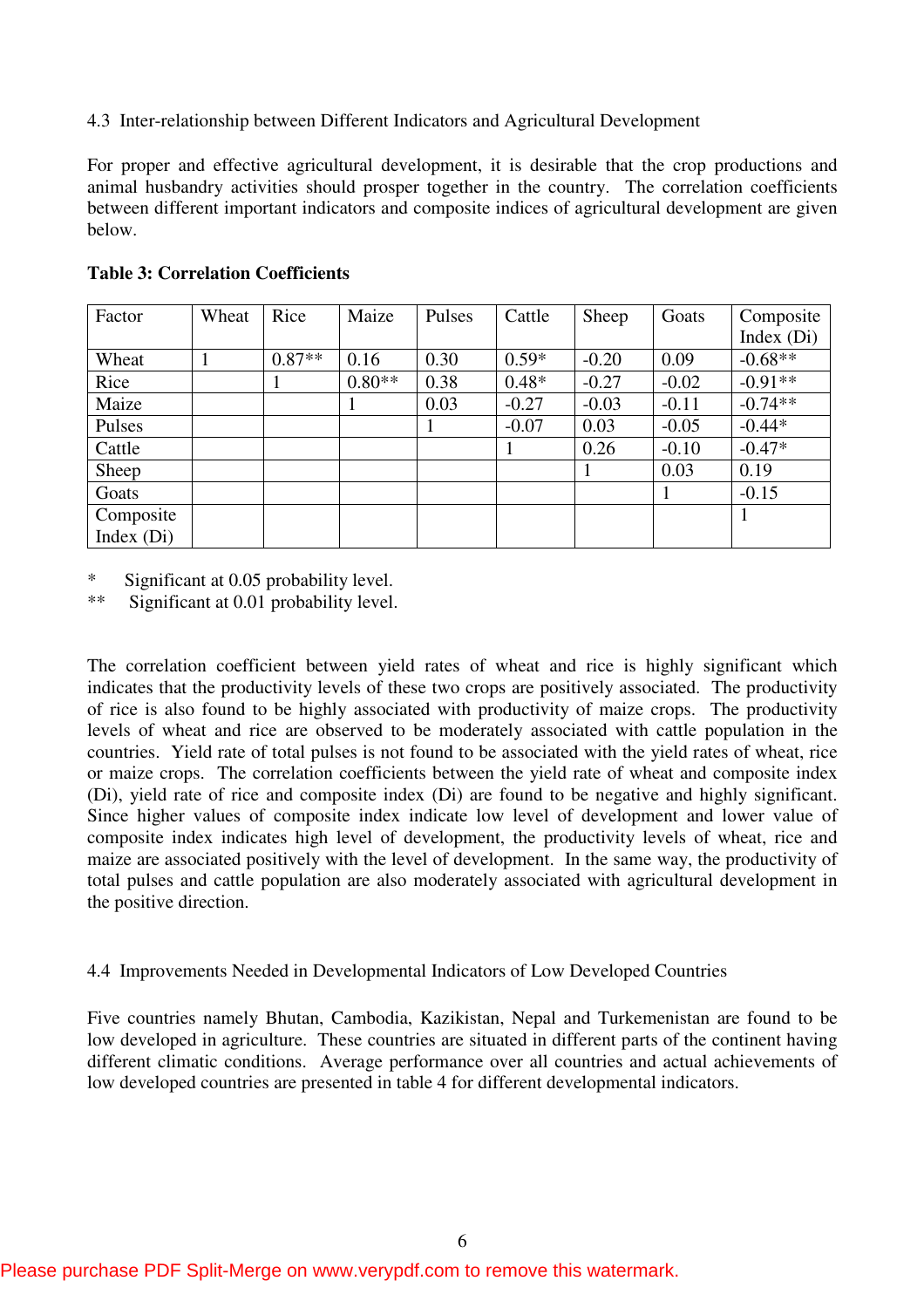4.3 Inter-relationship between Different Indicators and Agricultural Development

For proper and effective agricultural development, it is desirable that the crop productions and animal husbandry activities should prosper together in the country. The correlation coefficients between different important indicators and composite indices of agricultural development are given below.

| Factor       | Wheat | Rice     | Maize    | Pulses | Cattle  | Sheep   | Goats   | Composite    |
|--------------|-------|----------|----------|--------|---------|---------|---------|--------------|
|              |       |          |          |        |         |         |         | Index $(Di)$ |
| Wheat        |       | $0.87**$ | 0.16     | 0.30   | $0.59*$ | $-0.20$ | 0.09    | $-0.68**$    |
| Rice         |       |          | $0.80**$ | 0.38   | $0.48*$ | $-0.27$ | $-0.02$ | $-0.91**$    |
| Maize        |       |          |          | 0.03   | $-0.27$ | $-0.03$ | $-0.11$ | $-0.74**$    |
| Pulses       |       |          |          |        | $-0.07$ | 0.03    | $-0.05$ | $-0.44*$     |
| Cattle       |       |          |          |        |         | 0.26    | $-0.10$ | $-0.47*$     |
| Sheep        |       |          |          |        |         |         | 0.03    | 0.19         |
| Goats        |       |          |          |        |         |         |         | $-0.15$      |
| Composite    |       |          |          |        |         |         |         |              |
| Index $(Di)$ |       |          |          |        |         |         |         |              |

#### **Table 3: Correlation Coefficients**

\* Significant at 0.05 probability level.

\*\* Significant at 0.01 probability level.

The correlation coefficient between yield rates of wheat and rice is highly significant which indicates that the productivity levels of these two crops are positively associated. The productivity of rice is also found to be highly associated with productivity of maize crops. The productivity levels of wheat and rice are observed to be moderately associated with cattle population in the countries. Yield rate of total pulses is not found to be associated with the yield rates of wheat, rice or maize crops. The correlation coefficients between the yield rate of wheat and composite index (Di), yield rate of rice and composite index (Di) are found to be negative and highly significant. Since higher values of composite index indicate low level of development and lower value of composite index indicates high level of development, the productivity levels of wheat, rice and maize are associated positively with the level of development. In the same way, the productivity of total pulses and cattle population are also moderately associated with agricultural development in the positive direction.

# 4.4 Improvements Needed in Developmental Indicators of Low Developed Countries

Five countries namely Bhutan, Cambodia, Kazikistan, Nepal and Turkemenistan are found to be low developed in agriculture. These countries are situated in different parts of the continent having different climatic conditions. Average performance over all countries and actual achievements of low developed countries are presented in table 4 for different developmental indicators.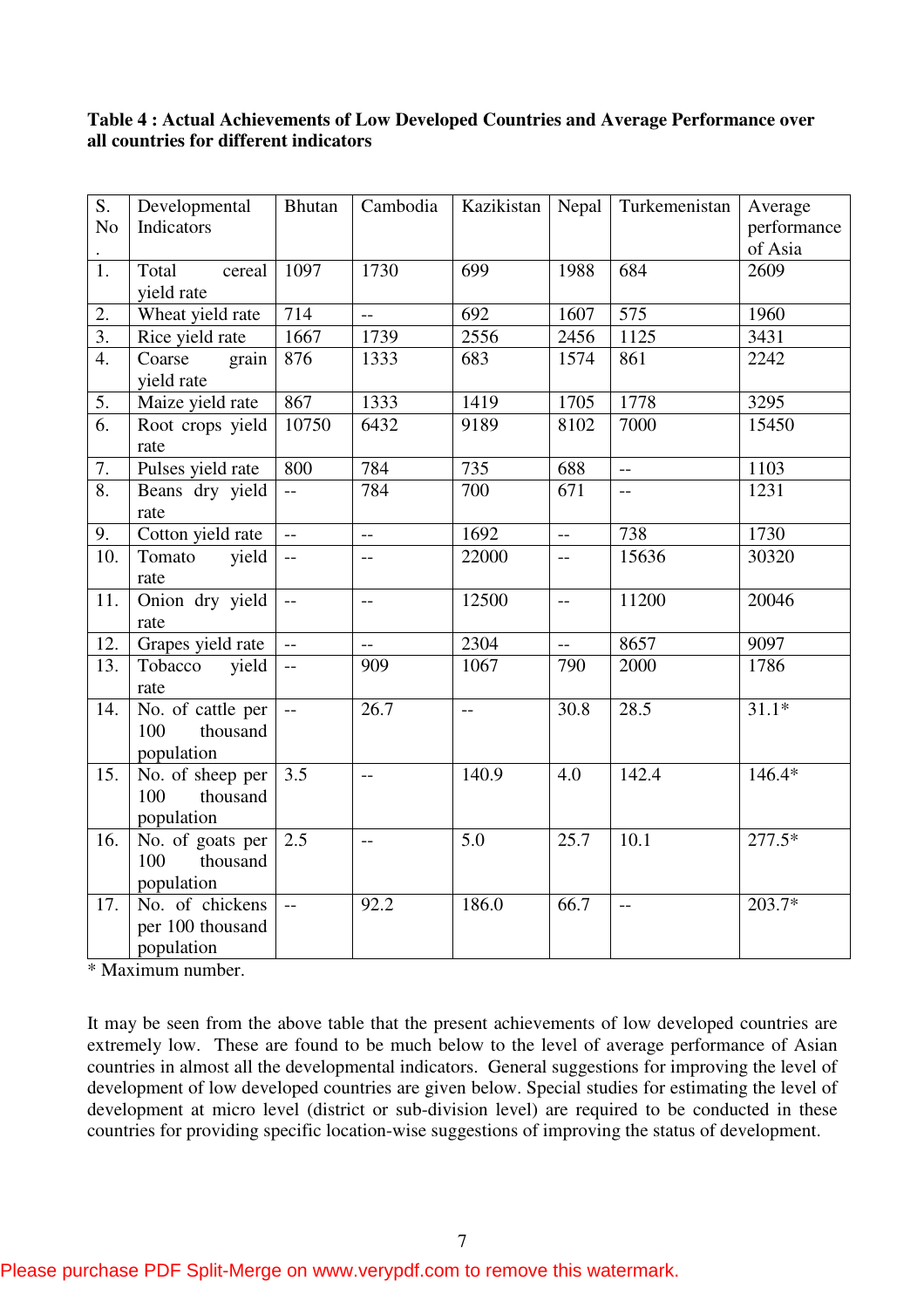# **Table 4 : Actual Achievements of Low Developed Countries and Average Performance over all countries for different indicators**

| S.                                     | Developmental                                                                                                                                                                                                                     | <b>Bhutan</b>            | Cambodia                 | Kazikistan                                    | Nepal                                           | Turkemenistan                  | Average                                                             |
|----------------------------------------|-----------------------------------------------------------------------------------------------------------------------------------------------------------------------------------------------------------------------------------|--------------------------|--------------------------|-----------------------------------------------|-------------------------------------------------|--------------------------------|---------------------------------------------------------------------|
| N <sub>o</sub>                         | Indicators                                                                                                                                                                                                                        |                          |                          |                                               |                                                 |                                | performance                                                         |
|                                        |                                                                                                                                                                                                                                   |                          |                          |                                               |                                                 |                                | of Asia                                                             |
| 1.                                     | Total<br>cereal                                                                                                                                                                                                                   | 1097                     | 1730                     | 699                                           | 1988                                            | 684                            | 2609                                                                |
|                                        | yield rate                                                                                                                                                                                                                        |                          |                          |                                               |                                                 |                                |                                                                     |
| 2.                                     | Wheat yield rate                                                                                                                                                                                                                  | 714                      | $\overline{\phantom{m}}$ | 692                                           | 1607                                            | 575                            | 1960                                                                |
| $\overline{3}$ .                       | Rice yield rate                                                                                                                                                                                                                   | 1667                     | 1739                     | 2556                                          | 2456                                            | 1125                           | 3431                                                                |
| $\overline{4}$ .                       | grain<br>Coarse                                                                                                                                                                                                                   | 876                      | 1333                     | 683                                           | 1574                                            | 861                            | 2242                                                                |
|                                        | yield rate                                                                                                                                                                                                                        |                          |                          |                                               |                                                 |                                |                                                                     |
| $\overline{5}$ .                       | Maize yield rate                                                                                                                                                                                                                  | 867                      | 1333                     | 1419                                          | 1705                                            | 1778                           | 3295                                                                |
| $\overline{6}$ .                       | Root crops yield                                                                                                                                                                                                                  | 10750                    | 6432                     | 9189                                          | 8102                                            | 7000                           | 15450                                                               |
|                                        | rate                                                                                                                                                                                                                              |                          |                          |                                               |                                                 |                                |                                                                     |
| $\overline{7}$ .                       | Pulses yield rate                                                                                                                                                                                                                 | 800                      | 784                      | 735                                           | 688                                             | $\overline{\phantom{a}}$       | 1103                                                                |
| 8.                                     | Beans dry yield                                                                                                                                                                                                                   | $\overline{a}$           | 784                      | 700                                           | 671                                             | $\overline{a}$                 | 1231                                                                |
|                                        | rate                                                                                                                                                                                                                              |                          |                          |                                               |                                                 |                                |                                                                     |
| 9.                                     | Cotton yield rate                                                                                                                                                                                                                 | $\overline{\phantom{a}}$ | $\overline{\phantom{a}}$ | 1692                                          | $\overline{\phantom{a}}$                        | 738                            | 1730                                                                |
| 10.                                    | Tomato<br>yield                                                                                                                                                                                                                   | $\overline{a}$           | $-$                      | 22000                                         | $-$                                             | 15636                          | 30320                                                               |
|                                        | rate                                                                                                                                                                                                                              |                          |                          |                                               |                                                 |                                |                                                                     |
|                                        |                                                                                                                                                                                                                                   | $\overline{a}$           | $-$                      |                                               | $\overline{\phantom{a}}$                        |                                |                                                                     |
|                                        | rate                                                                                                                                                                                                                              |                          |                          |                                               |                                                 |                                |                                                                     |
|                                        |                                                                                                                                                                                                                                   | $\overline{a}$           | $\overline{a}$           |                                               | $\overline{a}$                                  | 8657                           |                                                                     |
|                                        |                                                                                                                                                                                                                                   | $\overline{\phantom{a}}$ |                          |                                               |                                                 |                                |                                                                     |
|                                        |                                                                                                                                                                                                                                   |                          |                          |                                               |                                                 |                                |                                                                     |
|                                        |                                                                                                                                                                                                                                   | $\overline{a}$           |                          | $\mathord{\hspace{1pt}\text{--}\hspace{1pt}}$ |                                                 |                                |                                                                     |
|                                        | 100                                                                                                                                                                                                                               |                          |                          |                                               |                                                 |                                |                                                                     |
|                                        |                                                                                                                                                                                                                                   |                          |                          |                                               |                                                 |                                |                                                                     |
|                                        |                                                                                                                                                                                                                                   |                          | $-$                      |                                               |                                                 |                                |                                                                     |
|                                        | 100                                                                                                                                                                                                                               |                          |                          |                                               |                                                 |                                |                                                                     |
|                                        |                                                                                                                                                                                                                                   |                          |                          |                                               |                                                 |                                |                                                                     |
| 16.                                    |                                                                                                                                                                                                                                   | 2.5                      | $-$                      | 5.0                                           |                                                 | 10.1                           |                                                                     |
|                                        | 100<br>thousand                                                                                                                                                                                                                   |                          |                          |                                               |                                                 |                                |                                                                     |
|                                        |                                                                                                                                                                                                                                   |                          |                          |                                               |                                                 |                                |                                                                     |
|                                        | No. of chickens                                                                                                                                                                                                                   | $\bar{\mathbb{L}}$       | 92.2                     |                                               |                                                 | $-$                            | $203.7*$                                                            |
|                                        |                                                                                                                                                                                                                                   |                          |                          |                                               |                                                 |                                |                                                                     |
|                                        |                                                                                                                                                                                                                                   |                          |                          |                                               |                                                 |                                |                                                                     |
| 11.<br>12.<br>13.<br>14.<br>15.<br>17. | Onion dry yield<br>Grapes yield rate<br>Tobacco<br>yield<br>rate<br>No. of cattle per<br>thousand<br>population<br>No. of sheep per<br>thousand<br>population<br>No. of goats per<br>population<br>per 100 thousand<br>population | 3.5                      | 909<br>26.7              | 12500<br>2304<br>1067<br>140.9<br>186.0       | 790<br>30.8<br>4.0<br>$\overline{25.7}$<br>66.7 | 11200<br>2000<br>28.5<br>142.4 | 20046<br>9097<br>1786<br>$31.1*$<br>$146.4*$<br>$277.\overline{5*}$ |

\* Maximum number.

It may be seen from the above table that the present achievements of low developed countries are extremely low. These are found to be much below to the level of average performance of Asian countries in almost all the developmental indicators. General suggestions for improving the level of development of low developed countries are given below. Special studies for estimating the level of development at micro level (district or sub-division level) are required to be conducted in these countries for providing specific location-wise suggestions of improving the status of development.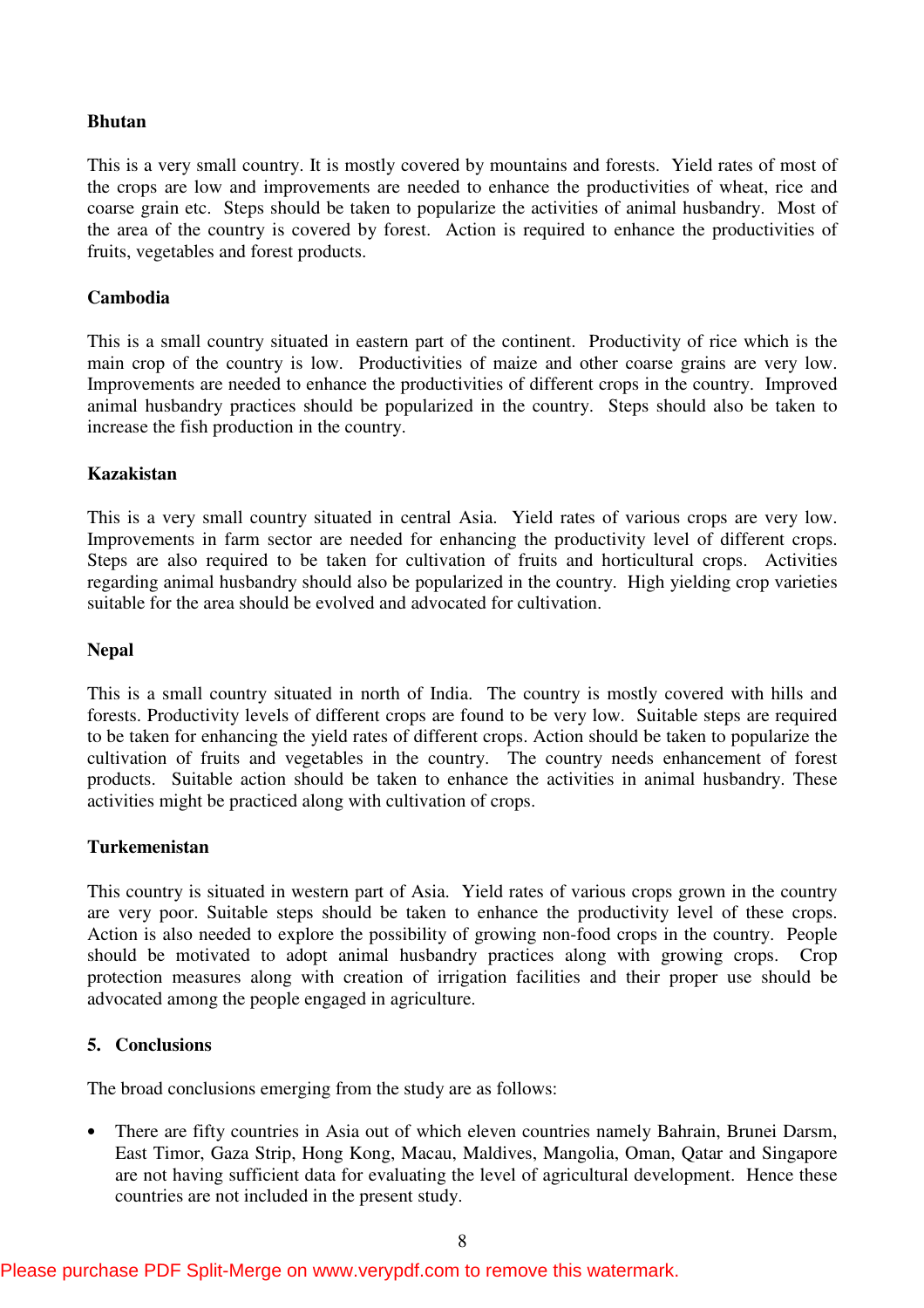# **Bhutan**

This is a very small country. It is mostly covered by mountains and forests. Yield rates of most of the crops are low and improvements are needed to enhance the productivities of wheat, rice and coarse grain etc. Steps should be taken to popularize the activities of animal husbandry. Most of the area of the country is covered by forest. Action is required to enhance the productivities of fruits, vegetables and forest products.

# **Cambodia**

This is a small country situated in eastern part of the continent. Productivity of rice which is the main crop of the country is low. Productivities of maize and other coarse grains are very low. Improvements are needed to enhance the productivities of different crops in the country. Improved animal husbandry practices should be popularized in the country. Steps should also be taken to increase the fish production in the country.

#### **Kazakistan**

This is a very small country situated in central Asia. Yield rates of various crops are very low. Improvements in farm sector are needed for enhancing the productivity level of different crops. Steps are also required to be taken for cultivation of fruits and horticultural crops. Activities regarding animal husbandry should also be popularized in the country. High yielding crop varieties suitable for the area should be evolved and advocated for cultivation.

#### **Nepal**

This is a small country situated in north of India. The country is mostly covered with hills and forests. Productivity levels of different crops are found to be very low. Suitable steps are required to be taken for enhancing the yield rates of different crops. Action should be taken to popularize the cultivation of fruits and vegetables in the country. The country needs enhancement of forest products. Suitable action should be taken to enhance the activities in animal husbandry. These activities might be practiced along with cultivation of crops.

#### **Turkemenistan**

This country is situated in western part of Asia. Yield rates of various crops grown in the country are very poor. Suitable steps should be taken to enhance the productivity level of these crops. Action is also needed to explore the possibility of growing non-food crops in the country. People should be motivated to adopt animal husbandry practices along with growing crops. Crop protection measures along with creation of irrigation facilities and their proper use should be advocated among the people engaged in agriculture.

#### **5. Conclusions**

The broad conclusions emerging from the study are as follows:

• There are fifty countries in Asia out of which eleven countries namely Bahrain, Brunei Darsm, East Timor, Gaza Strip, Hong Kong, Macau, Maldives, Mangolia, Oman, Qatar and Singapore are not having sufficient data for evaluating the level of agricultural development. Hence these countries are not included in the present study.